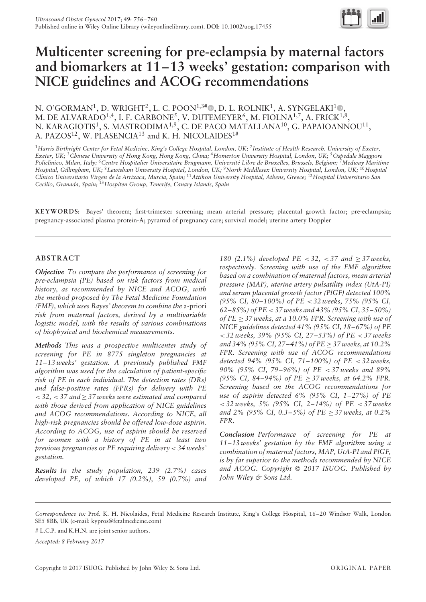

# **Multicenter screening for pre-eclampsia by maternal factors and biomarkers at 11–13 weeks' gestation: comparison with NICE guidelines and ACOG recommendations**

N. O'GORMAN<sup>1</sup>, D. WRIGHT<sup>2</sup>, L. C. POON<sup>1,3[#](http://orcid.org/0000-0002-3944-4130)</sup> [,](http://orcid.org/0000-0001-5856-6072) D. L. ROLNIK<sup>1</sup>, A. SYNGELAKI<sup>1</sup>  $\mathbb{D}$ , M. DE ALVARADO $^{1,4},$  I. F. CARBONE $^5,$  V. DUTEMEYER $^6,$  M. FIOLN $\mathrm{A}^{1,7},$  A. FRICK $^{1,8},$ N. KARAGIOTIS $^1,$  S. MASTRODIMA $^{1,9},$  C. DE PACO MATALLANA $^{10},$  G. PAPAIOANNOU $^{11},$ A. PAZOS<sup>12</sup>, W. PLASENCIA<sup>13</sup> and K. H. NICOLAIDES<sup>1#</sup>

<sup>1</sup>*Harris Birthright Center for Fetal Medicine, King's College Hospital, London, UK;* <sup>2</sup>*Institute of Health Research, University of Exeter, Exeter, UK;* <sup>3</sup>*Chinese University of Hong Kong, Hong Kong, China;* <sup>4</sup>*Homerton University Hospital, London, UK;* <sup>5</sup>*Ospedale Maggiore Policlinico, Milan, Italy;* <sup>6</sup>*Centre Hospitalier Universitaire Brugmann, Universite Libre de Bruxelles, Brussels, Belgium; ´* <sup>7</sup>*Medway Maritime Hospital, Gillingham, UK;* <sup>8</sup>*Lewisham University Hospital, London, UK;* <sup>9</sup>*North Middlesex University Hospital, London, UK;* <sup>10</sup>*Hospital Cl´ınico Universitario Virgen de la Arrixaca, Murcia, Spain;* <sup>11</sup>*Attikon University Hospital, Athens, Greece;* <sup>12</sup>*Hospital Universitario San Cecilio, Granada, Spain;* <sup>13</sup>*Hospiten Group, Tenerife, Canary Islands, Spain*

**KEYWORDS:** Bayes' theorem; first-trimester screening; mean arterial pressure; placental growth factor; pre-eclampsia; pregnancy-associated plasma protein-A; pyramid of pregnancy care; survival model; uterine artery Doppler

# **ABSTRACT**

*Objective To compare the performance of screening for pre-eclampsia (PE) based on risk factors from medical history, as recommended by NICE and ACOG, with the method proposed by The Fetal Medicine Foundation (FMF), which uses Bayes' theorem to combine the* a-priori *risk from maternal factors, derived by a multivariable logistic model, with the results of various combinations of biophysical and biochemical measurements.*

*Methods This was a prospective multicenter study of screening for PE in 8775 singleton pregnancies at 11–13 weeks' gestation. A previously published FMF algorithm was used for the calculation of patient-specific risk of PE in each individual. The detection rates (DRs) and false-positive rates (FPRs) for delivery with PE < 32, < 37 and* ≥ *37 weeks were estimated and compared with those derived from application of NICE guidelines and ACOG recommendations. According to NICE, all high-risk pregnancies should be offered low-dose aspirin. According to ACOG, use of aspirin should be reserved for women with a history of PE in at least two previous pregnancies or PE requiring delivery < 34 weeks' gestation.*

*Results In the study population, 239 (2.7%) cases developed PE, of which 17 (0.2%), 59 (0.7%) and*

*180 (2.1%) developed PE < 32, < 37 and*  $\geq$  *37 weeks, respectively. Screening with use of the FMF algorithm based on a combination of maternal factors, mean arterial pressure (MAP), uterine artery pulsatility index (UtA-PI) and serum placental growth factor (PlGF) detected 100% (95% CI, 80–100%) of PE < 32 weeks, 75% (95% CI, 62–85%) of PE < 37 weeks and 43% (95% CI, 35–50%) of PE* ≥ *37 weeks, at a 10.0% FPR. Screening with use of NICE guidelines detected 41% (95% CI, 18–67%) of PE < 32 weeks, 39% (95% CI, 27–53%) of PE < 37 weeks and 34% (95% CI, 27–41%) of PE* ≥ *37 weeks, at 10.2% FPR. Screening with use of ACOG recommendations detected 94% (95% CI, 71–100%) of PE < 32 weeks, 90% (95% CI, 79–96%) of PE < 37 weeks and 89% (95% CI, 84–94%) of PE* ≥ *37 weeks, at 64.2% FPR. Screening based on the ACOG recommendations for use of aspirin detected 6% (95% CI, 1–27%) of PE < 32 weeks, 5% (95% CI, 2–14%) of PE < 37 weeks and 2% (95% CI, 0.3–5%) of PE* ≥ *37 weeks, at 0.2% FPR.*

*Conclusion Performance of screening for PE at 11–13 weeks' gestation by the FMF algorithm using a combination of maternal factors, MAP, UtA-PI and PlGF, is by far superior to the methods recommended by NICE and ACOG. Copyright* © *2017 ISUOG. Published by John Wiley & Sons Ltd.*

*Accepted: 8 February 2017*

*Correspondence to:* Prof. K. H. Nicolaides, Fetal Medicine Research Institute, King's College Hospital, 16–20 Windsor Walk, London SE5 8BB, UK (e-mail: kypros@fetalmedicine.com)

<sup>#</sup> L.C.P. and K.H.N. are joint senior authors.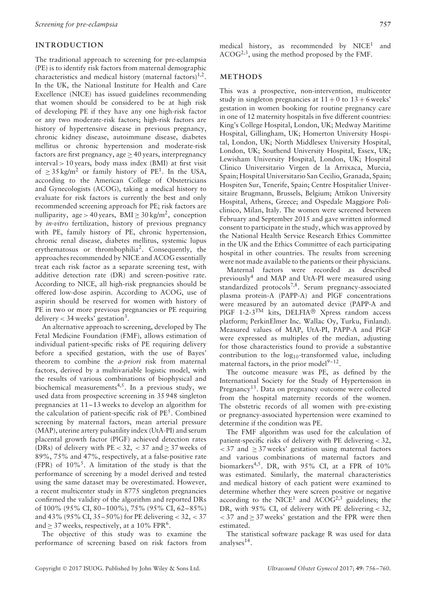# **INTRODUCTION**

The traditional approach to screening for pre-eclampsia (PE) is to identify risk factors from maternal demographic characteristics and medical history (maternal factors) $1,2$ . In the UK, the National Institute for Health and Care Excellence (NICE) has issued guidelines recommending that women should be considered to be at high risk of developing PE if they have any one high-risk factor or any two moderate-risk factors; high-risk factors are history of hypertensive disease in previous pregnancy, chronic kidney disease, autoimmune disease, diabetes mellitus or chronic hypertension and moderate-risk factors are first pregnancy, age ≥ 40 years, interpregnancy interval *>* 10 years, body mass index (BMI) at first visit of  $\geq$  35 kg/m<sup>2</sup> or family history of PE<sup>1</sup>. In the USA, according to the American College of Obstetricians and Gynecologists (ACOG), taking a medical history to evaluate for risk factors is currently the best and only recommended screening approach for PE; risk factors are nulliparity, age > 40 years,  $BMI \ge 30$  kg/m<sup>2</sup>, conception by *in-vitro* fertilization, history of previous pregnancy with PE, family history of PE, chronic hypertension, chronic renal disease, diabetes mellitus, systemic lupus erythematosus or thrombophilia2. Consequently, the approaches recommended by NICE and ACOG essentially treat each risk factor as a separate screening test, with additive detection rate (DR) and screen-positive rate. According to NICE, all high-risk pregnancies should be offered low-dose aspirin. According to ACOG, use of aspirin should be reserved for women with history of PE in two or more previous pregnancies or PE requiring delivery  $<$  34 weeks' gestation<sup>3</sup>.

An alternative approach to screening, developed by The Fetal Medicine Foundation (FMF), allows estimation of individual patient-specific risks of PE requiring delivery before a specified gestation, with the use of Bayes' theorem to combine the *a-priori* risk from maternal factors, derived by a multivariable logistic model, with the results of various combinations of biophysical and biochemical measurements<sup>4,5</sup>. In a previous study, we used data from prospective screening in 35 948 singleton pregnancies at 11–13 weeks to develop an algorithm for the calculation of patient-specific risk of  $PE<sup>5</sup>$ . Combined screening by maternal factors, mean arterial pressure (MAP), uterine artery pulsatility index (UtA-PI) and serum placental growth factor (PlGF) achieved detection rates (DRs) of delivery with  $PE < 32$ ,  $< 37$  and  $\geq 37$  weeks of 89%, 75% and 47%, respectively, at a false-positive rate (FPR) of  $10\%$ <sup>5</sup>. A limitation of the study is that the performance of screening by a model derived and tested using the same dataset may be overestimated. However, a recent multicenter study in 8775 singleton pregnancies confirmed the validity of the algorithm and reported DRs of 100% (95% CI, 80–100%), 75% (95% CI, 62–85%) and 43% (95% CI, 35–50%) for PE delivering *<* 32, *<* 37 and  $> 37$  weeks, respectively, at a 10% FPR<sup>6</sup>.

The objective of this study was to examine the performance of screening based on risk factors from medical history, as recommended by  $NICE<sup>1</sup>$  and ACOG2,3, using the method proposed by the FMF.

### **METHODS**

This was a prospective, non-intervention, multicenter study in singleton pregnancies at  $11 + 0$  to  $13 + 6$  weeks' gestation in women booking for routine pregnancy care in one of 12 maternity hospitals in five different countries: King's College Hospital, London, UK; Medway Maritime Hospital, Gillingham, UK; Homerton University Hospital, London, UK; North Middlesex University Hospital, London, UK; Southend University Hospital, Essex, UK; Lewisham University Hospital, London, UK; Hospital Clínico Universitario Virgen de la Arrixaca, Murcia, Spain; Hospital Universitario San Cecilio, Granada, Spain; Hospiten Sur, Tenerife, Spain; Centre Hospitalier Universitaire Brugmann, Brussels, Belgium; Attikon University Hospital, Athens, Greece; and Ospedale Maggiore Policlinico, Milan, Italy. The women were screened between February and September 2015 and gave written informed consent to participate in the study, which was approved by the National Health Service Research Ethics Committee in the UK and the Ethics Committee of each participating hospital in other countries. The results from screening were not made available to the patients or their physicians.

Maternal factors were recorded as described previously<sup>4</sup> and MAP and UtA-PI were measured using standardized protocols<sup>7,8</sup>. Serum pregnancy-associated plasma protein-A (PAPP-A) and PlGF concentrations were measured by an automated device (PAPP-A and PlGF 1-2-3TM kits, DELFIA® Xpress random access platform; PerkinElmer Inc. Wallac Oy, Turku, Finland). Measured values of MAP, UtA-PI, PAPP-A and PlGF were expressed as multiples of the median, adjusting for those characteristics found to provide a substantive contribution to the  $log_{10}$ -transformed value, including maternal factors, in the prior model $9-12$ .

The outcome measure was PE, as defined by the International Society for the Study of Hypertension in Pregnancy<sup>13</sup>. Data on pregnancy outcome were collected from the hospital maternity records of the women. The obstetric records of all women with pre-existing or pregnancy-associated hypertension were examined to determine if the condition was PE.

The FMF algorithm was used for the calculation of patient-specific risks of delivery with PE delivering *<* 32,  $<$  37 and  $\geq$  37 weeks' gestation using maternal factors and various combinations of maternal factors and biomarkers<sup>4,5</sup>. DR, with 95% CI, at a FPR of 10% was estimated. Similarly, the maternal characteristics and medical history of each patient were examined to determine whether they were screen positive or negative according to the NICE<sup>1</sup> and ACO $G^{2,3}$  guidelines; the DR, with 95% CI, of delivery with PE delivering *<* 32,  $<$  37 and  $\geq$  37 weeks' gestation and the FPR were then estimated.

The statistical software package R was used for data analyses<sup>14</sup>.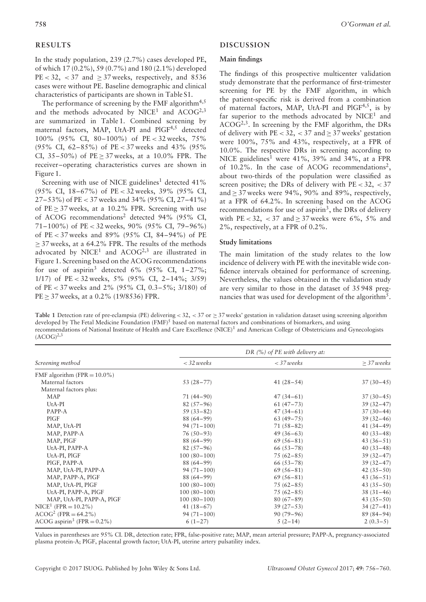# **RESULTS**

In the study population, 239 (2.7%) cases developed PE, of which 17 (0.2%), 59 (0.7%) and 180 (2.1%) developed  $PE < 32$ ,  $< 37$  and  $> 37$  weeks, respectively, and 8536 cases were without PE. Baseline demographic and clinical characteristics of participants are shown in Table S1.

The performance of screening by the FMF algorithm<sup>4,5</sup> and the methods advocated by  $NICE<sup>1</sup>$  and  $ACOG<sup>2,3</sup>$ are summarized in Table 1. Combined screening by maternal factors, MAP, UtA-PI and PlGF4,5 detected 100% (95% CI, 80–100%) of PE *<* 32 weeks, 75% (95% CI, 62–85%) of PE *<* 37 weeks and 43% (95% CI,  $35-50\%$ ) of PE > 37 weeks, at a 10.0% FPR. The receiver–operating characteristics curves are shown in Figure 1.

Screening with use of NICE guidelines<sup>1</sup> detected  $41\%$ (95% CI, 18–67%) of PE *<* 32 weeks, 39% (95% CI, 27–53%) of PE *<* 37 weeks and 34% (95% CI, 27–41%) of  $PE > 37$  weeks, at a 10.2% FPR. Screening with use of ACOG recommendations<sup>2</sup> detected 94% (95% CI, 71–100%) of PE *<* 32 weeks, 90% (95% CI, 79–96%) of PE *<* 37 weeks and 89% (95% CI, 84–94%) of PE  $\geq$  37 weeks, at a 64.2% FPR. The results of the methods advocated by  $NICE<sup>1</sup>$  and  $ACOG<sup>2,3</sup>$  are illustrated in Figure 1. Screening based on the ACOG recommendations for use of aspirin<sup>3</sup> detected 6% (95% CI,  $1-27\%$ ; 1/17) of PE *<* 32 weeks, 5% (95% CI, 2–14%; 3/59) of PE *<* 37 weeks and 2% (95% CI, 0.3–5%; 3/180) of PE ≥ 37 weeks, at a 0.2% (19/8536) FPR.

# **DISCUSSION**

# **Main findings**

The findings of this prospective multicenter validation study demonstrate that the performance of first-trimester screening for PE by the FMF algorithm, in which the patient-specific risk is derived from a combination of maternal factors, MAP, UtA-PI and  $PIGF<sup>4,5</sup>$ , is by far superior to the methods advocated by  $NICE<sup>1</sup>$  and  $ACOG^{2,3}$ . In screening by the FMF algorithm, the DRs of delivery with  $PE < 32$ ,  $< 37$  and  $\geq 37$  weeks' gestation were 100%, 75% and 43%, respectively, at a FPR of 10.0%. The respective DRs in screening according to NICE guidelines<sup>1</sup> were  $41\%$ ,  $39\%$  and  $34\%$ , at a FPR of 10.2%. In the case of ACOG recommendations<sup>2</sup>, about two-thirds of the population were classified as screen positive; the DRs of delivery with PE *<* 32, *<* 37 and  $\geq$  37 weeks were 94%, 90% and 89%, respectively, at a FPR of 64.2%. In screening based on the ACOG recommendations for use of aspirin<sup>3</sup>, the DRs of delivery with PE < 32, < 37 and  $\geq$  37 weeks were 6%, 5% and 2%, respectively, at a FPR of 0.2%.

## **Study limitations**

The main limitation of the study relates to the low incidence of delivery with PE with the inevitable wide confidence intervals obtained for performance of screening. Nevertheless, the values obtained in the validation study are very similar to those in the dataset of 35 948 pregnancies that was used for development of the algorithm<sup>5</sup>.

**Table 1** Detection rate of pre-eclampsia (PE) delivering *<* 32, *<* 37 or ≥ 37 weeks' gestation in validation dataset using screening algorithm developed by The Fetal Medicine Foundation  $(FMF)^5$  based on maternal factors and combinations of biomarkers, and using recommendations of National Institute of Health and Care Excellence (NICE)1 and American College of Obstetricians and Gynecologists  $(ACOG)^{2,3}$ 

| Screening method                           | DR $(%)$ of PE with delivery at: |               |                 |
|--------------------------------------------|----------------------------------|---------------|-----------------|
|                                            | $<$ 32 weeks                     | $<$ 37 weeks  | $\geq$ 37 weeks |
| FMF algorithm (FPR = $10.0\%$ )            |                                  |               |                 |
| Maternal factors                           | $53(28-77)$                      | $41(28-54)$   | $37(30-45)$     |
| Maternal factors plus:                     |                                  |               |                 |
| <b>MAP</b>                                 | $71(44-90)$                      | $47(34-61)$   | $37(30-45)$     |
| UtA-PI                                     | $82(57-96)$                      | $61(47-73)$   | $39(32-47)$     |
| PAPP-A                                     | $59(33-82)$                      | $47(34-61)$   | $37(30-44)$     |
| PIGF                                       | $88(64-99)$                      | $63(49 - 75)$ | $39(32 - 46)$   |
| MAP, UtA-PI                                | $94(71-100)$                     | $71(58-82)$   | $41(34-49)$     |
| MAP, PAPP-A                                | $76(50-93)$                      | $49(36-63)$   | $40(33-48)$     |
| MAP, PIGF                                  | $88(64-99)$                      | $69(56-81)$   | $43(36-51)$     |
| UtA-PI, PAPP-A                             | $82(57-96)$                      | $66(53 - 78)$ | $40(33-48)$     |
| UtA-PI, PIGF                               | $100(80-100)$                    | $75(62 - 85)$ | $39(32-47)$     |
| PIGF, PAPP-A                               | $88(64-99)$                      | $66(53 - 78)$ | $39(32-47)$     |
| MAP, UtA-PI, PAPP-A                        | $94(71-100)$                     | $69(56-81)$   | $42(35-50)$     |
| MAP, PAPP-A, PIGF                          | $88(64-99)$                      | $69(56-81)$   | $43(36-51)$     |
| MAP, UtA-PI, PIGF                          | $100(80-100)$                    | $75(62-85)$   | $43(35-50)$     |
| UtA-PI, PAPP-A, PIGF                       | $100(80-100)$                    | $75(62 - 85)$ | $38(31-46)$     |
| MAP, UtA-PI, PAPP-A, PIGF                  | $100(80-100)$                    | $80(67-89)$   | $43(35-50)$     |
| $NICE1$ (FPR = 10.2%)                      | $41(18-67)$                      | $39(27-53)$   | $34(27-41)$     |
| $ACOG^2$ (FPR = 64.2%)                     | $94(71-100)$                     | $90(79-96)$   | $89(84-94)$     |
| ACOG aspirin <sup>3</sup> (FPR = $0.2\%$ ) | $6(1-27)$                        | $5(2-14)$     | $2(0.3-5)$      |

Values in parentheses are 95% CI. DR, detection rate; FPR, false-positive rate; MAP, mean arterial pressure; PAPP-A, pregnancy-associated plasma protein-A; PlGF, placental growth factor; UtA-PI, uterine artery pulsatility index.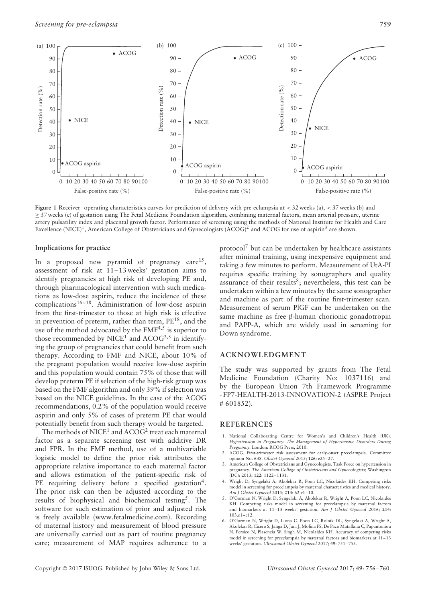

**Figure 1** Receiver–operating characteristics curves for prediction of delivery with pre-eclampsia at *<* 32 weeks (a), *<* 37 weeks (b) and ≥ 37 weeks (c) of gestation using The Fetal Medicine Foundation algorithm, combining maternal factors, mean arterial pressure, uterine artery pulsatility index and placental growth factor. Performance of screening using the methods of National Institute for Health and Care Excellence (NICE)<sup>1</sup>, American College of Obstetricians and Gynecologists (ACOG)<sup>2</sup> and ACOG for use of aspirin<sup>3</sup> are shown.

#### **Implications for practice**

In a proposed new pyramid of pregnancy care<sup>15</sup>, assessment of risk at 11–13 weeks' gestation aims to identify pregnancies at high risk of developing PE and, through pharmacological intervention with such medications as low-dose aspirin, reduce the incidence of these complications16–18. Administration of low-dose aspirin from the first-trimester to those at high risk is effective in prevention of preterm, rather than term, PE18, and the use of the method advocated by the FMF<sup>4,5</sup> is superior to those recommended by  $NICE<sup>1</sup>$  and  $ACOG<sup>2,3</sup>$  in identifying the group of pregnancies that could benefit from such therapy. According to FMF and NICE, about 10% of the pregnant population would receive low-dose aspirin and this population would contain 75% of those that will develop preterm PE if selection of the high-risk group was based on the FMF algorithm and only 39% if selection was based on the NICE guidelines. In the case of the ACOG recommendations, 0.2% of the population would receive aspirin and only 5% of cases of preterm PE that would potentially benefit from such therapy would be targeted.

The methods of  $NICE<sup>1</sup>$  and  $ACOG<sup>2</sup>$  treat each maternal factor as a separate screening test with additive DR and FPR. In the FMF method, use of a multivariable logistic model to define the prior risk attributes the appropriate relative importance to each maternal factor and allows estimation of the patient-specific risk of PE requiring delivery before a specified gestation<sup>4</sup>. The prior risk can then be adjusted according to the results of biophysical and biochemical testing5. The software for such estimation of prior and adjusted risk is freely available [\(www.fetalmedicine.com\)](http://www.fetalmedicine.com). Recording of maternal history and measurement of blood pressure are universally carried out as part of routine pregnancy care; measurement of MAP requires adherence to a

protocol<sup>7</sup> but can be undertaken by healthcare assistants after minimal training, using inexpensive equipment and taking a few minutes to perform. Measurement of UtA-PI requires specific training by sonographers and quality assurance of their results<sup>8</sup>; nevertheless, this test can be undertaken within a few minutes by the same sonographer and machine as part of the routine first-trimester scan. Measurement of serum PlGF can be undertaken on the same machine as free β-human chorionic gonadotropin and PAPP-A, which are widely used in screening for Down syndrome.

## **ACKNOWLEDGMENT**

The study was supported by grants from The Fetal Medicine Foundation (Charity No: 1037116) and by the European Union 7th Framework Programme - FP7-HEALTH-2013-INNOVATION-2 (ASPRE Project # 601852).

#### **REFERENCES**

- 1. National Collaborating Centre for Women's and Children's Health (UK). *Hypertension in Pregnancy: The Management of Hypertensive Disorders During Pregnancy*. London*:* RCOG Press, 2010.
- 2. ACOG. First-trimester risk assessment for early-onset preeclampsia. Committee opinion No. 638. *Obstet Gynecol* 2015; **126**: e25–27.
- 3. American College of Obstetricians and Gynecologists. Task Force on hypertension in pregnancy. *The American College of Obstetricians and Gynecologists*; Washington (DC): 2013; **122**: 1122–1131.
- 4. Wright D, Syngelaki A, Akolekar R, Poon LC, Nicolaides KH. Competing risks model in screening for preeclampsia by maternal characteristics and medical history. *Am J Obstet Gynecol* 2015; **213**: 62.e1–10.
- 5. O'Gorman N, Wright D, Syngelaki A, Akolekar R, Wright A, Poon LC, Nicolaides KH. Competing risks model in screening for preeclampsia by maternal factors and biomarkers at 11–13 weeks' gestation. *Am J Obstet Gynecol* 2016; **214**: 103.e1–e12.
- 6. O'Gorman N, Wright D, Liona C. Poon LC, Rolnik DL, Syngelaki A, Wright A, Akolekar R, Cicero S, Janga D, Jani J, Molina FS, De Paco Matallana C, Papantoniou N, Persico N, Plasencia W, Singh M, Nicolaides KH. Accuracy of competing risks model in screening for preeclampsia by maternal factors and biomarkers at 11–13 weeks' gestation. *Ultrasound Obstet Gynecol* 2017; **49**: 751–755.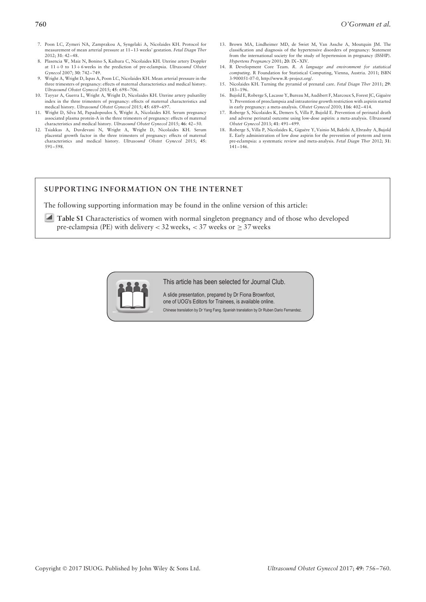- 7. Poon LC, Zymeri NA, Zamprakou A, Syngelaki A, Nicolaides KH. Protocol for measurement of mean arterial pressure at 11–13 weeks' gestation. *Fetal Diagn Ther* 2012; **31**: 42–48.
- 8. Plasencia W, Maiz N, Bonino S, Kaihura C, Nicolaides KH. Uterine artery Doppler at 11 + 0 to 13 + 6 weeks in the prediction of pre-eclampsia. *Ultrasound Obstet Gynecol* 2007; **30**: 742–749.
- Wright A, Wright D, Ispas A, Poon LC, Nicolaides KH. Mean arterial pressure in the three trimesters of pregnancy: effects of maternal characteristics and medical history. *Ultrasound Obstet Gynecol* 2015; **45**: 698–706.
- 10. Tayyar A, Guerra L, Wright A, Wright D, Nicolaides KH. Uterine artery pulsatility index in the three trimesters of pregnancy: effects of maternal characteristics and medical history. *Ultrasound Obstet Gynecol* 2015; **45**: 689–697.
- 11. Wright D, Silva M, Papadopoulos S, Wright A, Nicolaides KH. Serum pregnancy associated plasma protein-A in the three trimesters of pregnancy: effects of maternal characteristics and medical history. *Ultrasound Obstet Gynecol* 2015; **46**: 42–50.
- 12. Tsiakkas A, Duvdevani N, Wright A, Wright D, Nicolaides KH. Serum placental growth factor in the three trimesters of pregnancy: effects of maternal characteristics and medical history. *Ultrasound Obstet Gynecol* 2015; **45**: 591–598.
- 13. Brown MA, Lindheimer MD, de Swiet M, Van Assche A, Moutquin JM. The classification and diagnosis of the hypertensive disorders of pregnancy: Statement from the international society for the study of hypertension in pregnancy (ISSHP). *Hypertens Pregnancy* 2001; **20**: IX–XIV.
- 14. R Development Core Team. *R. A language and environment for statistical computing*. R Foundation for Statistical Computing, Vienna, Austria. 2011; ISBN 3-900051-07-0, [http://www.R-project.org/](http://www.R-project.org).
- 15. Nicolaides KH. Turning the pyramid of prenatal care. *Fetal Diagn Ther* 2011; **29**: 183–196.
- 16. Bujold E, Roberge S, Lacasse Y, Bureau M, Audibert F, Marcoux S, Forest JC, Giguère Y. Prevention of preeclampsia and intrauterine growth restriction with aspirin started in early pregnancy: a meta-analysis. *Obstet Gynecol* 2010; **116**: 402–414.
- 17. Roberge S, Nicolaides K, Demers S, Villa P, Bujold E. Prevention of perinatal death and adverse perinatal outcome using low-dose aspirin: a meta-analysis. *Ultrasound Obstet Gynecol* 2013; **41**: 491–499.
- 18. Roberge S, Villa P, Nicolaides K, Giguere Y, Vainio M, Bakthi A, Ebrashy A, Bujold ` E. Early administration of low dose aspirin for the prevention of preterm and term pre-eclampsia: a systematic review and meta-analysis. *Fetal Diagn Ther* 2012; **31**: 141–146.

# **SUPPORTING INFORMATION ON THE INTERNET**

The following supporting information may be found in the online version of this article:

**Table S1** Characteristics of women with normal singleton pregnancy and of those who developed pre-eclampsia (PE) with delivery  $<$  32 weeks,  $<$  37 weeks or  $\geq$  37 weeks



This article has been selected for Journal Club.

A slide presentation, prepared by Dr Fiona Brownfoot, one of UOG's Editors for Trainees, is available online. Chinese translation by Dr Yang Fang. Spanish translation by Dr Ruben Dario Fernandez.